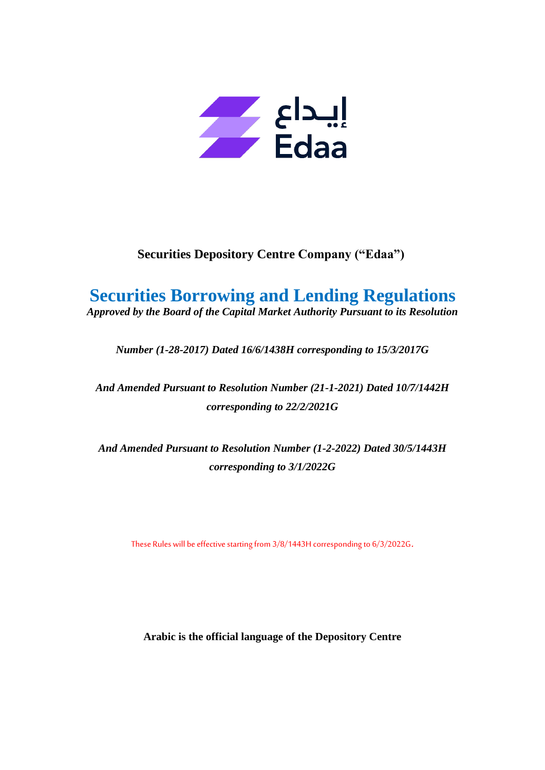

# **Securities Depository Centre Company ("Edaa")**

# **Securities Borrowing and Lending Regulations**

*Approved by the Board of the Capital Market Authority Pursuant to its Resolution* 

*Number (1-28-2017) Dated 16/6/1438H corresponding to 15/3/2017G*

*And Amended Pursuant to Resolution Number (21-1-2021) Dated 10/7/1442H corresponding to 22/2/2021G*

*And Amended Pursuant to Resolution Number (1-2-2022) Dated 30/5/1443H corresponding to 3/1/2022G*

These Rules will be effective starting from 3/8/1443H corresponding to 6/3/2022G.

**Arabic is the official language of the Depository Centre**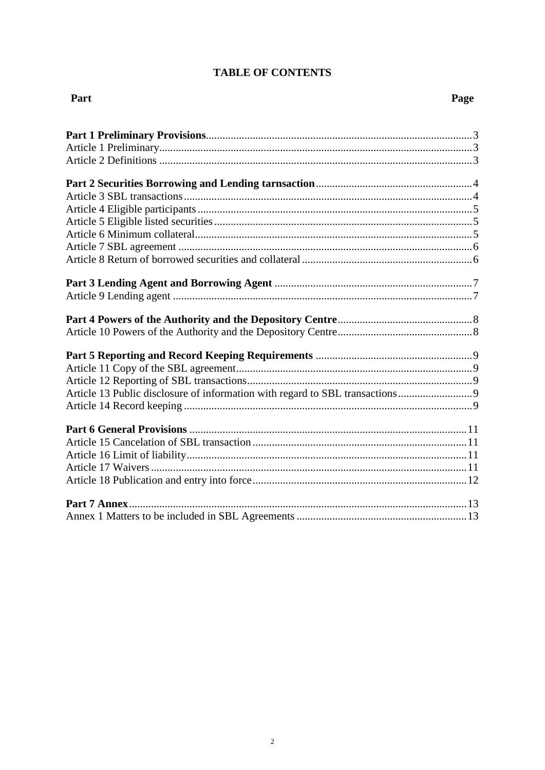# **TABLE OF CONTENTS**

# Part

| Article 13 Public disclosure of information with regard to SBL transactions |  |
|-----------------------------------------------------------------------------|--|
|                                                                             |  |
|                                                                             |  |
|                                                                             |  |
|                                                                             |  |
|                                                                             |  |
|                                                                             |  |
|                                                                             |  |
|                                                                             |  |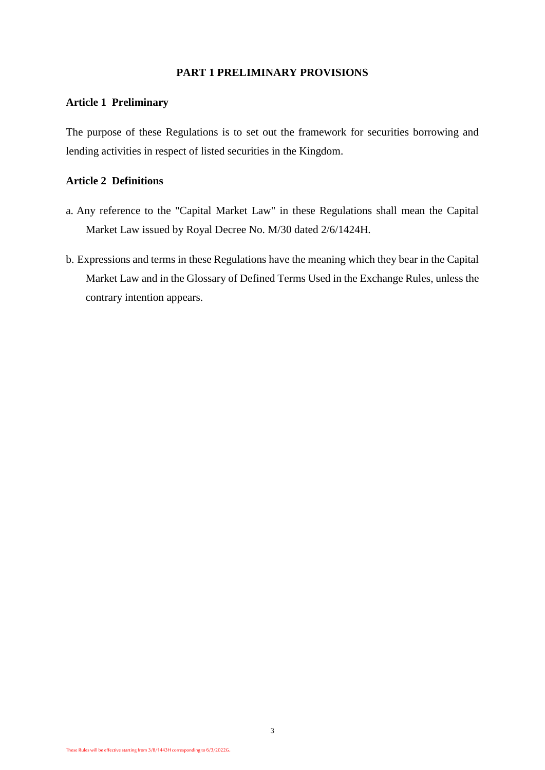## **PART 1 PRELIMINARY PROVISIONS**

## **Article 1 Preliminary**

The purpose of these Regulations is to set out the framework for securities borrowing and lending activities in respect of listed securities in the Kingdom.

## **Article 2 Definitions**

- a. Any reference to the "Capital Market Law" in these Regulations shall mean the Capital Market Law issued by Royal Decree No. M/30 dated 2/6/1424H.
- b. Expressions and terms in these Regulations have the meaning which they bear in the Capital Market Law and in the Glossary of Defined Terms Used in the Exchange Rules, unless the contrary intention appears.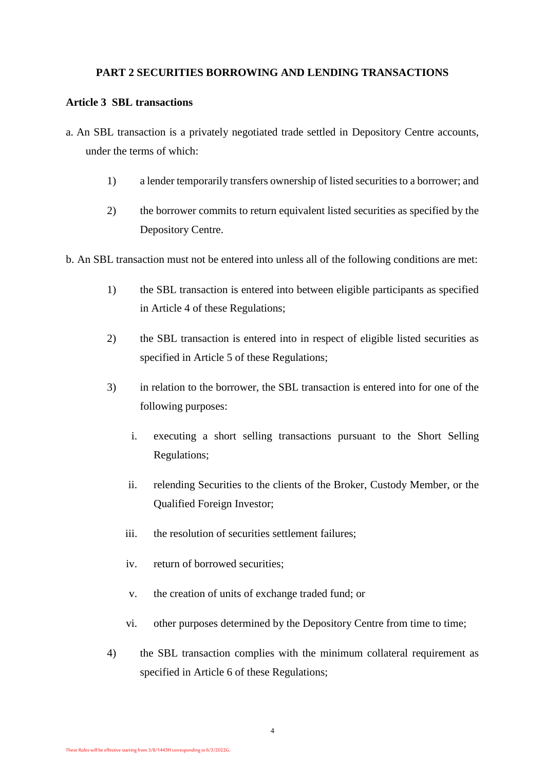## **PART 2 SECURITIES BORROWING AND LENDING TRANSACTIONS**

## **Article 3 SBL transactions**

- a. An SBL transaction is a privately negotiated trade settled in Depository Centre accounts, under the terms of which:
	- 1) a lender temporarily transfers ownership of listed securities to a borrower; and
	- 2) the borrower commits to return equivalent listed securities as specified by the Depository Centre.
- b. An SBL transaction must not be entered into unless all of the following conditions are met:
	- 1) the SBL transaction is entered into between eligible participants as specified in Article 4 of these Regulations;
	- 2) the SBL transaction is entered into in respect of eligible listed securities as specified in Article 5 of these Regulations;
	- 3) in relation to the borrower, the SBL transaction is entered into for one of the following purposes:
		- i. executing a short selling transactions pursuant to the Short Selling Regulations;
		- ii. relending Securities to the clients of the Broker, Custody Member, or the Qualified Foreign Investor;
		- iii. the resolution of securities settlement failures;
		- iv. return of borrowed securities;
		- v. the creation of units of exchange traded fund; or
		- vi. other purposes determined by the Depository Centre from time to time;
	- 4) the SBL transaction complies with the minimum collateral requirement as specified in Article 6 of these Regulations;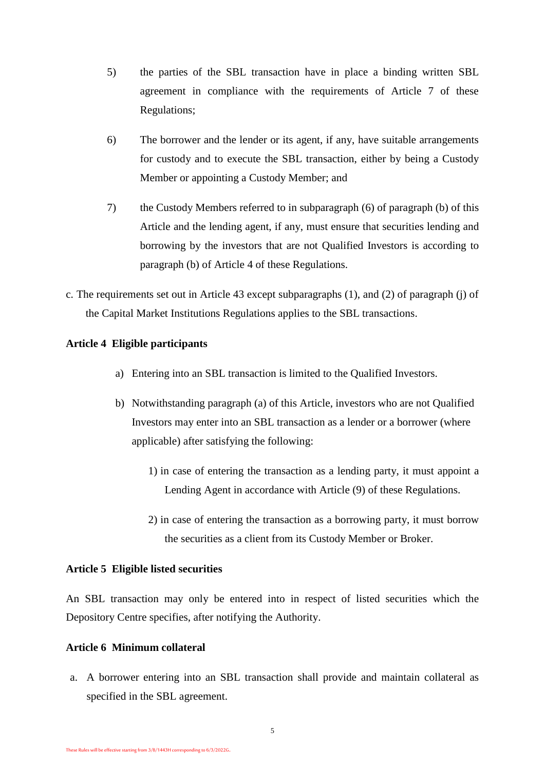- 5) the parties of the SBL transaction have in place a binding written SBL agreement in compliance with the requirements of Article 7 of these Regulations;
- 6) The borrower and the lender or its agent, if any, have suitable arrangements for custody and to execute the SBL transaction, either by being a Custody Member or appointing a Custody Member; and
- 7) the Custody Members referred to in subparagraph (6) of paragraph (b) of this Article and the lending agent, if any, must ensure that securities lending and borrowing by the investors that are not Qualified Investors is according to paragraph (b) of Article 4 of these Regulations.
- c. The requirements set out in Article 43 except subparagraphs (1), and (2) of paragraph (j) of the Capital Market Institutions Regulations applies to the SBL transactions.

## **Article 4 Eligible participants**

- a) Entering into an SBL transaction is limited to the Qualified Investors.
- b) Notwithstanding paragraph (a) of this Article, investors who are not Qualified Investors may enter into an SBL transaction as a lender or a borrower (where applicable) after satisfying the following:
	- 1) in case of entering the transaction as a lending party, it must appoint a Lending Agent in accordance with Article (9) of these Regulations.
	- 2) in case of entering the transaction as a borrowing party, it must borrow the securities as a client from its Custody Member or Broker.

## **Article 5 Eligible listed securities**

An SBL transaction may only be entered into in respect of listed securities which the Depository Centre specifies, after notifying the Authority.

## **Article 6 Minimum collateral**

a. A borrower entering into an SBL transaction shall provide and maintain collateral as specified in the SBL agreement.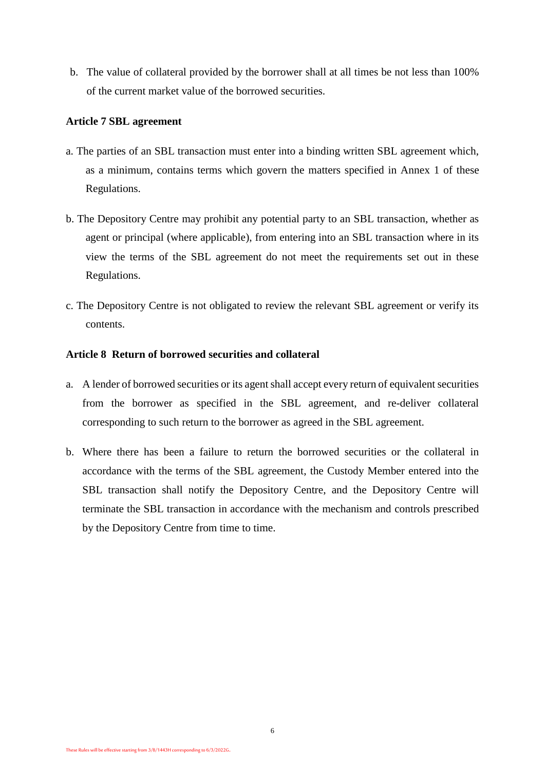b. The value of collateral provided by the borrower shall at all times be not less than 100% of the current market value of the borrowed securities.

### **Article 7 SBL agreement**

- a. The parties of an SBL transaction must enter into a binding written SBL agreement which, as a minimum, contains terms which govern the matters specified in Annex 1 of these Regulations.
- b. The Depository Centre may prohibit any potential party to an SBL transaction, whether as agent or principal (where applicable), from entering into an SBL transaction where in its view the terms of the SBL agreement do not meet the requirements set out in these Regulations.
- c. The Depository Centre is not obligated to review the relevant SBL agreement or verify its contents.

## **Article 8 Return of borrowed securities and collateral**

- a. A lender of borrowed securities or its agent shall accept every return of equivalent securities from the borrower as specified in the SBL agreement, and re-deliver collateral corresponding to such return to the borrower as agreed in the SBL agreement.
- b. Where there has been a failure to return the borrowed securities or the collateral in accordance with the terms of the SBL agreement, the Custody Member entered into the SBL transaction shall notify the Depository Centre, and the Depository Centre will terminate the SBL transaction in accordance with the mechanism and controls prescribed by the Depository Centre from time to time.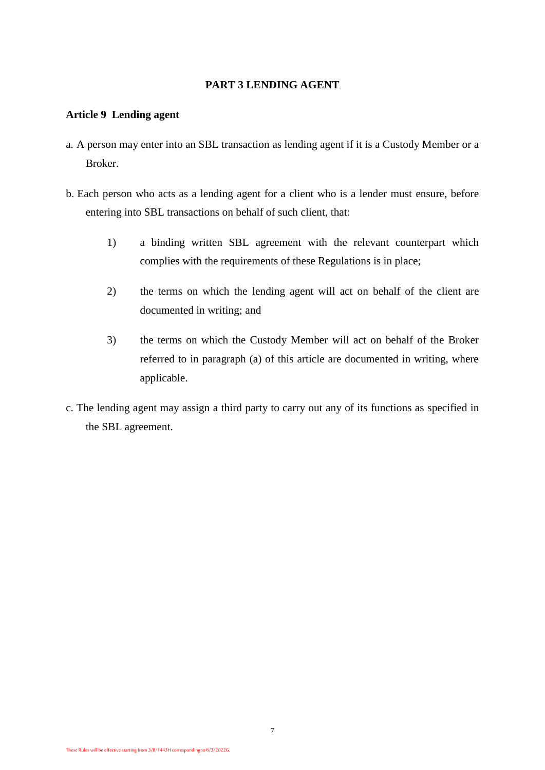## **PART 3 LENDING AGENT**

## **Article 9 Lending agent**

- a. A person may enter into an SBL transaction as lending agent if it is a Custody Member or a Broker.
- b. Each person who acts as a lending agent for a client who is a lender must ensure, before entering into SBL transactions on behalf of such client, that:
	- 1) a binding written SBL agreement with the relevant counterpart which complies with the requirements of these Regulations is in place;
	- 2) the terms on which the lending agent will act on behalf of the client are documented in writing; and
	- 3) the terms on which the Custody Member will act on behalf of the Broker referred to in paragraph (a) of this article are documented in writing, where applicable.
- c. The lending agent may assign a third party to carry out any of its functions as specified in the SBL agreement.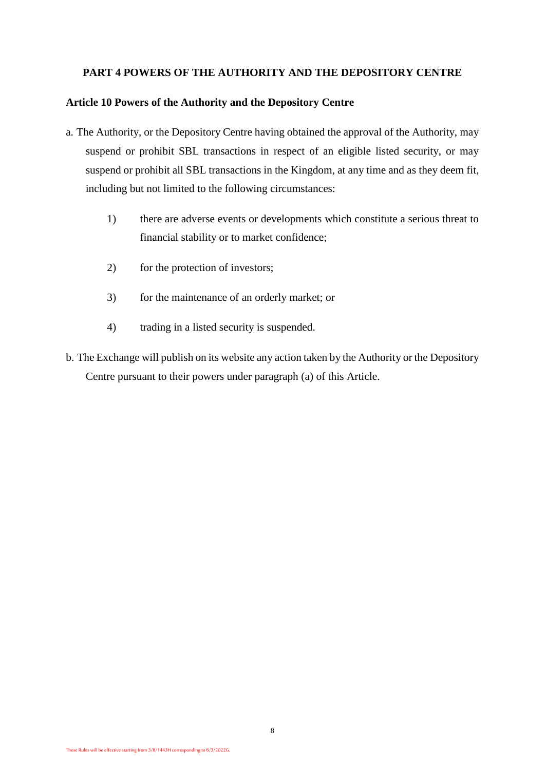## **PART 4 POWERS OF THE AUTHORITY AND THE DEPOSITORY CENTRE**

## **Article 10 Powers of the Authority and the Depository Centre**

- a. The Authority, or the Depository Centre having obtained the approval of the Authority, may suspend or prohibit SBL transactions in respect of an eligible listed security, or may suspend or prohibit all SBL transactions in the Kingdom, at any time and as they deem fit, including but not limited to the following circumstances:
	- 1) there are adverse events or developments which constitute a serious threat to financial stability or to market confidence;
	- 2) for the protection of investors;
	- 3) for the maintenance of an orderly market; or
	- 4) trading in a listed security is suspended.
- b. The Exchange will publish on its website any action taken by the Authority or the Depository Centre pursuant to their powers under paragraph (a) of this Article.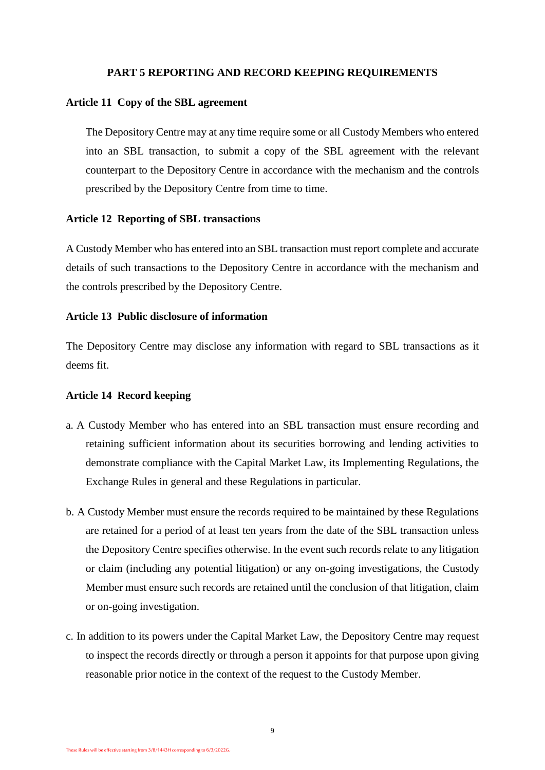## **PART 5 REPORTING AND RECORD KEEPING REQUIREMENTS**

#### **Article 11 Copy of the SBL agreement**

The Depository Centre may at any time require some or all Custody Members who entered into an SBL transaction, to submit a copy of the SBL agreement with the relevant counterpart to the Depository Centre in accordance with the mechanism and the controls prescribed by the Depository Centre from time to time.

#### **Article 12 Reporting of SBL transactions**

A Custody Member who has entered into an SBL transaction must report complete and accurate details of such transactions to the Depository Centre in accordance with the mechanism and the controls prescribed by the Depository Centre.

## **Article 13 Public disclosure of information**

The Depository Centre may disclose any information with regard to SBL transactions as it deems fit.

#### **Article 14 Record keeping**

- a. A Custody Member who has entered into an SBL transaction must ensure recording and retaining sufficient information about its securities borrowing and lending activities to demonstrate compliance with the Capital Market Law, its Implementing Regulations, the Exchange Rules in general and these Regulations in particular.
- b. A Custody Member must ensure the records required to be maintained by these Regulations are retained for a period of at least ten years from the date of the SBL transaction unless the Depository Centre specifies otherwise. In the event such records relate to any litigation or claim (including any potential litigation) or any on-going investigations, the Custody Member must ensure such records are retained until the conclusion of that litigation, claim or on-going investigation.
- c. In addition to its powers under the Capital Market Law, the Depository Centre may request to inspect the records directly or through a person it appoints for that purpose upon giving reasonable prior notice in the context of the request to the Custody Member.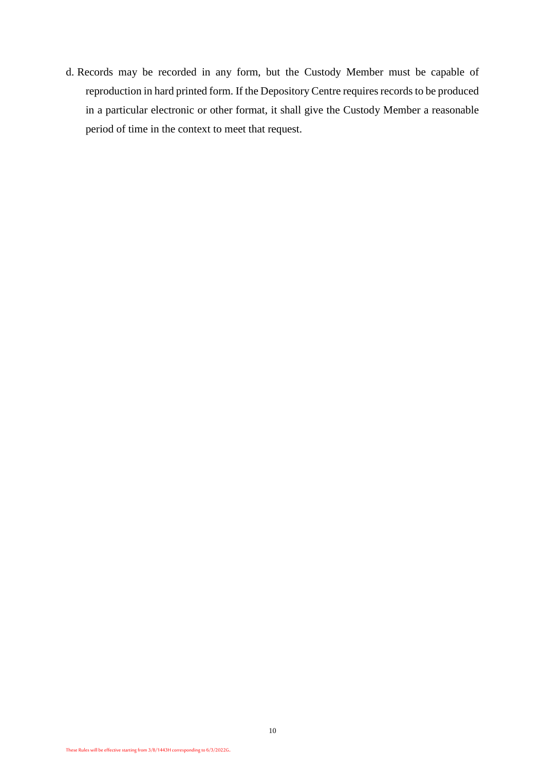d. Records may be recorded in any form, but the Custody Member must be capable of reproduction in hard printed form. If the Depository Centre requires records to be produced in a particular electronic or other format, it shall give the Custody Member a reasonable period of time in the context to meet that request.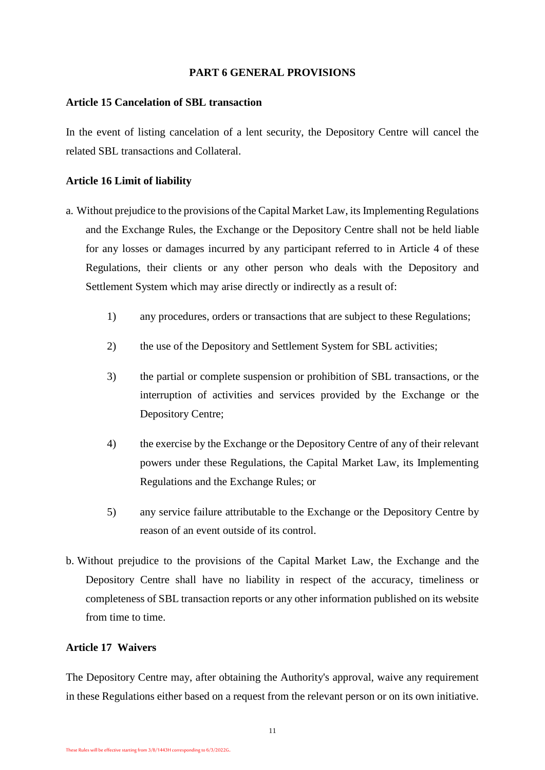## **PART 6 GENERAL PROVISIONS**

#### **Article 15 Cancelation of SBL transaction**

In the event of listing cancelation of a lent security, the Depository Centre will cancel the related SBL transactions and Collateral.

#### **Article 16 Limit of liability**

- a. Without prejudice to the provisions of the Capital Market Law, its Implementing Regulations and the Exchange Rules, the Exchange or the Depository Centre shall not be held liable for any losses or damages incurred by any participant referred to in Article 4 of these Regulations, their clients or any other person who deals with the Depository and Settlement System which may arise directly or indirectly as a result of:
	- 1) any procedures, orders or transactions that are subject to these Regulations;
	- 2) the use of the Depository and Settlement System for SBL activities;
	- 3) the partial or complete suspension or prohibition of SBL transactions, or the interruption of activities and services provided by the Exchange or the Depository Centre;
	- 4) the exercise by the Exchange or the Depository Centre of any of their relevant powers under these Regulations, the Capital Market Law, its Implementing Regulations and the Exchange Rules; or
	- 5) any service failure attributable to the Exchange or the Depository Centre by reason of an event outside of its control.
- b. Without prejudice to the provisions of the Capital Market Law, the Exchange and the Depository Centre shall have no liability in respect of the accuracy, timeliness or completeness of SBL transaction reports or any other information published on its website from time to time.

## **Article 17 Waivers**

The Depository Centre may, after obtaining the Authority's approval, waive any requirement in these Regulations either based on a request from the relevant person or on its own initiative.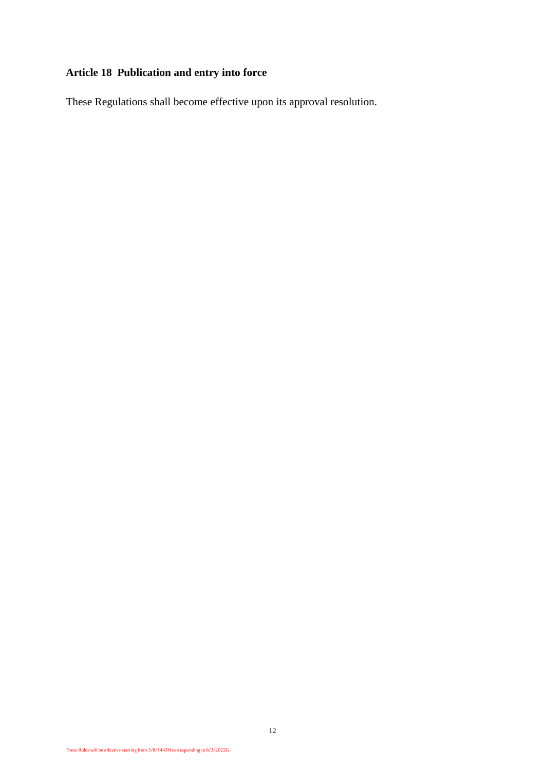# **Article 18 Publication and entry into force**

These Regulations shall become effective upon its approval resolution.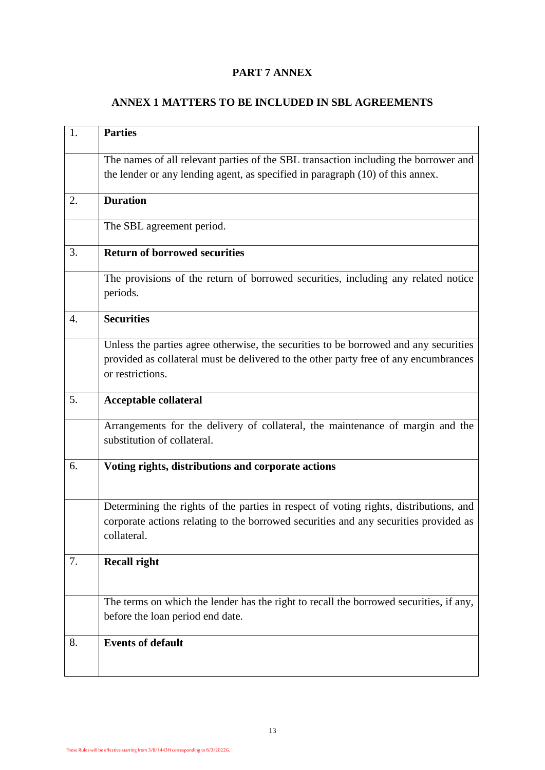## **PART 7 ANNEX**

# **ANNEX 1 MATTERS TO BE INCLUDED IN SBL AGREEMENTS**

| 1. | <b>Parties</b>                                                                                                                                                                                   |
|----|--------------------------------------------------------------------------------------------------------------------------------------------------------------------------------------------------|
|    | The names of all relevant parties of the SBL transaction including the borrower and<br>the lender or any lending agent, as specified in paragraph (10) of this annex.                            |
| 2. | <b>Duration</b>                                                                                                                                                                                  |
|    | The SBL agreement period.                                                                                                                                                                        |
| 3. | <b>Return of borrowed securities</b>                                                                                                                                                             |
|    | The provisions of the return of borrowed securities, including any related notice<br>periods.                                                                                                    |
| 4. | <b>Securities</b>                                                                                                                                                                                |
|    | Unless the parties agree otherwise, the securities to be borrowed and any securities<br>provided as collateral must be delivered to the other party free of any encumbrances<br>or restrictions. |
| 5. | <b>Acceptable collateral</b>                                                                                                                                                                     |
|    | Arrangements for the delivery of collateral, the maintenance of margin and the<br>substitution of collateral.                                                                                    |
| 6. | Voting rights, distributions and corporate actions                                                                                                                                               |
|    | Determining the rights of the parties in respect of voting rights, distributions, and<br>corporate actions relating to the borrowed securities and any securities provided as<br>collateral.     |
| 7. | <b>Recall right</b>                                                                                                                                                                              |
|    |                                                                                                                                                                                                  |
|    | The terms on which the lender has the right to recall the borrowed securities, if any,<br>before the loan period end date.                                                                       |
| 8. | <b>Events of default</b>                                                                                                                                                                         |